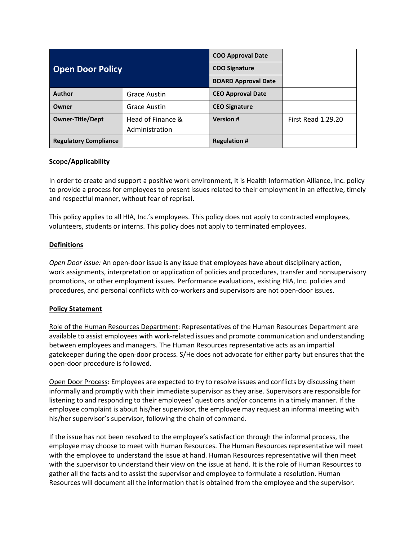| <b>Open Door Policy</b>      |                                     | <b>COO Approval Date</b>   |                           |
|------------------------------|-------------------------------------|----------------------------|---------------------------|
|                              |                                     | <b>COO Signature</b>       |                           |
|                              |                                     | <b>BOARD Approval Date</b> |                           |
| Author                       | Grace Austin                        | <b>CEO Approval Date</b>   |                           |
| Owner                        | Grace Austin                        | <b>CEO Signature</b>       |                           |
| <b>Owner-Title/Dept</b>      | Head of Finance &<br>Administration | <b>Version#</b>            | <b>First Read 1.29.20</b> |
| <b>Regulatory Compliance</b> |                                     | <b>Regulation #</b>        |                           |

## **Scope/Applicability**

In order to create and support a positive work environment, it is Health Information Alliance, Inc. policy to provide a process for employees to present issues related to their employment in an effective, timely and respectful manner, without fear of reprisal.

This policy applies to all HIA, Inc.'s employees. This policy does not apply to contracted employees, volunteers, students or interns. This policy does not apply to terminated employees.

## **Definitions**

*Open Door Issue:* An open-door issue is any issue that employees have about disciplinary action, work assignments, interpretation or application of policies and procedures, transfer and nonsupervisory promotions, or other employment issues. Performance evaluations, existing HIA, Inc. policies and procedures, and personal conflicts with co-workers and supervisors are not open-door issues.

## **Policy Statement**

Role of the Human Resources Department: Representatives of the Human Resources Department are available to assist employees with work-related issues and promote communication and understanding between employees and managers. The Human Resources representative acts as an impartial gatekeeper during the open-door process. S/He does not advocate for either party but ensures that the open-door procedure is followed.

Open Door Process: Employees are expected to try to resolve issues and conflicts by discussing them informally and promptly with their immediate supervisor as they arise. Supervisors are responsible for listening to and responding to their employees' questions and/or concerns in a timely manner. If the employee complaint is about his/her supervisor, the employee may request an informal meeting with his/her supervisor's supervisor, following the chain of command.

If the issue has not been resolved to the employee's satisfaction through the informal process, the employee may choose to meet with Human Resources. The Human Resources representative will meet with the employee to understand the issue at hand. Human Resources representative will then meet with the supervisor to understand their view on the issue at hand. It is the role of Human Resources to gather all the facts and to assist the supervisor and employee to formulate a resolution. Human Resources will document all the information that is obtained from the employee and the supervisor.